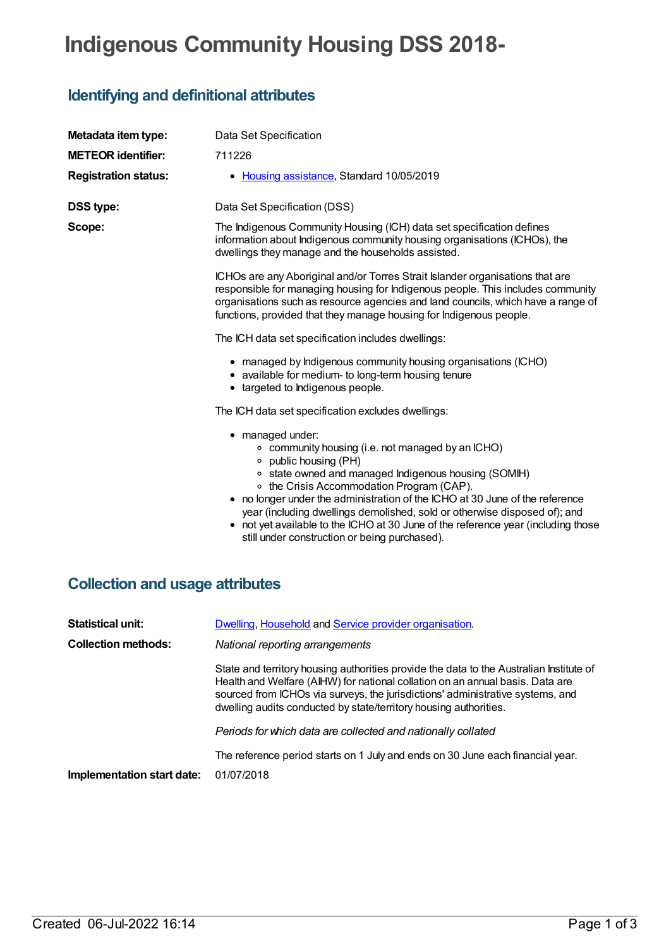# **Indigenous Community Housing DSS 2018-**

## **Identifying and definitional attributes**

| Metadata item type:                    | Data Set Specification                                                                                                                                                                                                                                                                                                                                                                                                                                                                                 |
|----------------------------------------|--------------------------------------------------------------------------------------------------------------------------------------------------------------------------------------------------------------------------------------------------------------------------------------------------------------------------------------------------------------------------------------------------------------------------------------------------------------------------------------------------------|
| <b>METEOR identifier:</b>              | 711226                                                                                                                                                                                                                                                                                                                                                                                                                                                                                                 |
| <b>Registration status:</b>            | • Housing assistance, Standard 10/05/2019                                                                                                                                                                                                                                                                                                                                                                                                                                                              |
| <b>DSS type:</b>                       | Data Set Specification (DSS)                                                                                                                                                                                                                                                                                                                                                                                                                                                                           |
| Scope:                                 | The Indigenous Community Housing (ICH) data set specification defines<br>information about Indigenous community housing organisations (ICHOs), the<br>dwellings they manage and the households assisted.                                                                                                                                                                                                                                                                                               |
|                                        | ICHOs are any Aboriginal and/or Torres Strait Islander organisations that are<br>responsible for managing housing for Indigenous people. This includes community<br>organisations such as resource agencies and land councils, which have a range of<br>functions, provided that they manage housing for Indigenous people.                                                                                                                                                                            |
|                                        | The ICH data set specification includes dwellings:                                                                                                                                                                                                                                                                                                                                                                                                                                                     |
|                                        | • managed by Indigenous community housing organisations (ICHO)<br>• available for medium- to long-term housing tenure<br>• targeted to Indigenous people.                                                                                                                                                                                                                                                                                                                                              |
|                                        | The ICH data set specification excludes dwellings:                                                                                                                                                                                                                                                                                                                                                                                                                                                     |
|                                        | • managed under:<br>○ community housing (i.e. not managed by an ICHO)<br>○ public housing (PH)<br>• state owned and managed Indigenous housing (SOMIH)<br>○ the Crisis Accommodation Program (CAP).<br>• no longer under the administration of the ICHO at 30 June of the reference<br>year (including dwellings demolished, sold or otherwise disposed of); and<br>• not yet available to the ICHO at 30 June of the reference year (including those<br>still under construction or being purchased). |
| <b>Collection and usage attributes</b> |                                                                                                                                                                                                                                                                                                                                                                                                                                                                                                        |

| Dwelling, Household and Service provider organisation.                                                                                                                                                                                                                                                                          |
|---------------------------------------------------------------------------------------------------------------------------------------------------------------------------------------------------------------------------------------------------------------------------------------------------------------------------------|
| National reporting arrangements                                                                                                                                                                                                                                                                                                 |
| State and territory housing authorities provide the data to the Australian Institute of<br>Health and Welfare (AIHW) for national collation on an annual basis. Data are<br>sourced from ICHOs via surveys, the jurisdictions' administrative systems, and<br>dwelling audits conducted by state/territory housing authorities. |
| Periods for which data are collected and nationally collated                                                                                                                                                                                                                                                                    |
| The reference period starts on 1 July and ends on 30 June each financial year.<br>01/07/2018                                                                                                                                                                                                                                    |
|                                                                                                                                                                                                                                                                                                                                 |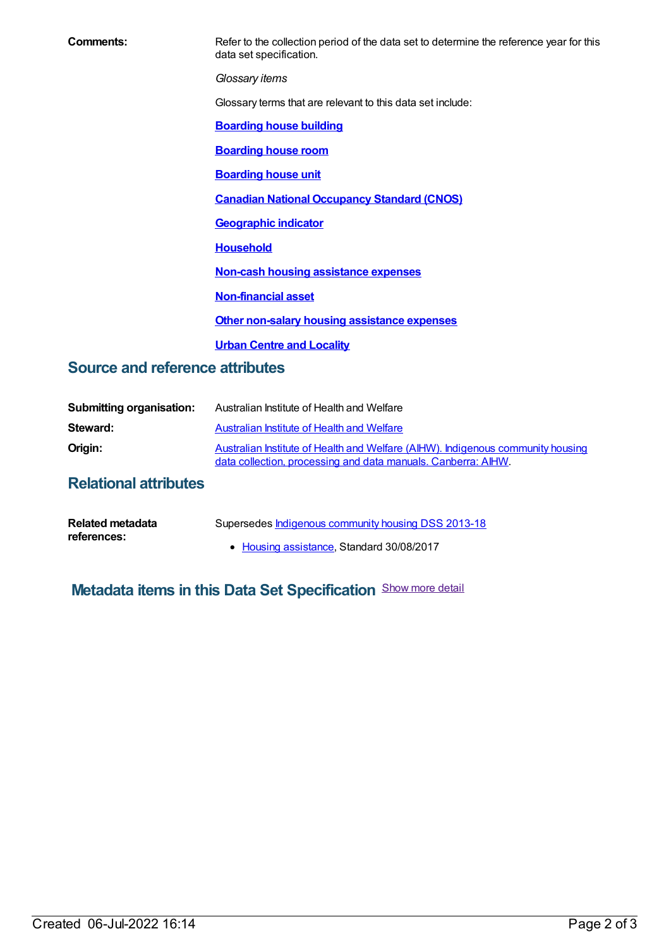**Comments:** Refer to the collection period of the data set to determine the reference year for this data set specification.

*Glossary items*

Glossary terms that are relevant to this data set include:

**[Boarding](https://meteor.aihw.gov.au/content/327408) house building**

**[Boarding](https://meteor.aihw.gov.au/content/327410) house room**

**[Boarding](https://meteor.aihw.gov.au/content/327412) house unit**

**Canadian National [Occupancy](https://meteor.aihw.gov.au/content/386254) Standard (CNOS)**

**[Geographic](https://meteor.aihw.gov.au/content/327306) indicator**

**[Household](https://meteor.aihw.gov.au/content/465183)**

**Non-cash housing [assistance](https://meteor.aihw.gov.au/content/497114) expenses**

**[Non-financial](https://meteor.aihw.gov.au/content/327196) asset**

**Other non-salary housing [assistance](https://meteor.aihw.gov.au/content/497112) expenses**

**Urban Centre and [Locality](https://meteor.aihw.gov.au/content/467399)**

#### **Source and reference attributes**

| <b>Submitting organisation:</b> | Australian Institute of Health and Welfare                                                                                                       |
|---------------------------------|--------------------------------------------------------------------------------------------------------------------------------------------------|
| Steward:                        | Australian Institute of Health and Welfare                                                                                                       |
| Origin:                         | Australian Institute of Health and Welfare (AIHW). Indigenous community housing<br>data collection, processing and data manuals. Canberra: AIHW. |

#### **Relational attributes**

| Related metadata | Supersedes Indigenous community housing DSS 2013-18 |
|------------------|-----------------------------------------------------|
| references:      | • Housing assistance, Standard 30/08/2017           |

### **Metadata items in this Data Set Specification** Show more detail